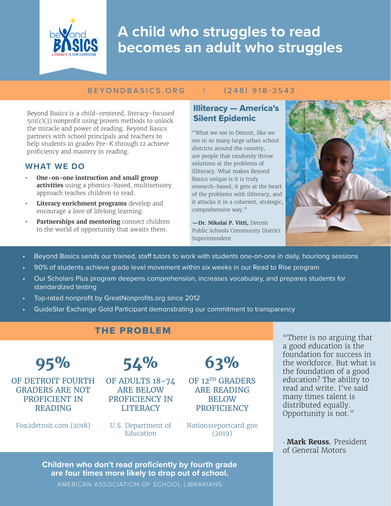

# **A child who struggles to read becomes an adult who struggles**

#### BEYONDBASICS.ORG | (248) 918-3543

Beyond Basics is a child-centered, literacy-focused 501(c)(3) nonprofit using proven methods to unlock the miracle and power of reading. Beyond Basics partners with school principals and teachers to help students in grades Pre-K through 12 achieve proficiency and mastery in reading.

#### **WHAT WE DO**

- **• One-on-one instruction and small group activities** using a phonics-based, multisensory approach teaches children to read.
- **• Literacy enrichment programs** develop and encourage a love of lifelong learning.
- **• Partnerships and mentoring** connect children to the world of opportunity that awaits them.

Illiteracy — America's Silent Epidemic

"What we see in Detroit, like we see in so many large urban school districts around the country, are people that randomly throw solutions at the problems of illiteracy. What makes Beyond Basics unique is it is truly research-based, it gets at the heart of the problems with illiteracy, and it attacks it in a coherent, strategic, comprehensive way."

**—Dr. Nikolai P. Vitti,** Detroit Public Schools Community District Superintendent



- Beyond Basics sends our trained, staff tutors to work with students one-on-one in daily, hourlong sessions
- 90% of students achieve grade level movement within six weeks in our Read to Rise program
- Our Scholars Plus program deepens comprehension, increases vocabulary, and prepares students for standardized testing
- Top-rated nonprofit by GreatNonprofits.org since 2012
- GuideStar Exchange Gold Participant demonstrating our commitment to transparency

## THE PROBLEM

**95%** OF DETROIT FOURTH GRADERS ARE NOT PROFICIENT IN READING

Fox2detroit.com (2018)

**54%** 

OF ADULTS 18-74 ARE BELOW PROFICIENCY IN **LITERACY** 

U.S. Department of **Education** 

Nationsreportcard.gov (2019)

**63%** 

OF 12<sup>TH</sup> GRADERS ARE READING BELOW **PROFICIENCY** 

"There is no arguing that a good education is the foundation for success in the workforce. But what is the foundation of a good education? The ability to read and write. I've said many times talent is distributed equally. Opportunity is not."

- **Mark Reuss**, President of General Motors

**Children who don't read proficiently by fourth grade are four times more likely to drop out of school.**

AMERICAN ASSOCIATION OF SCHOOL LIBRARIANS